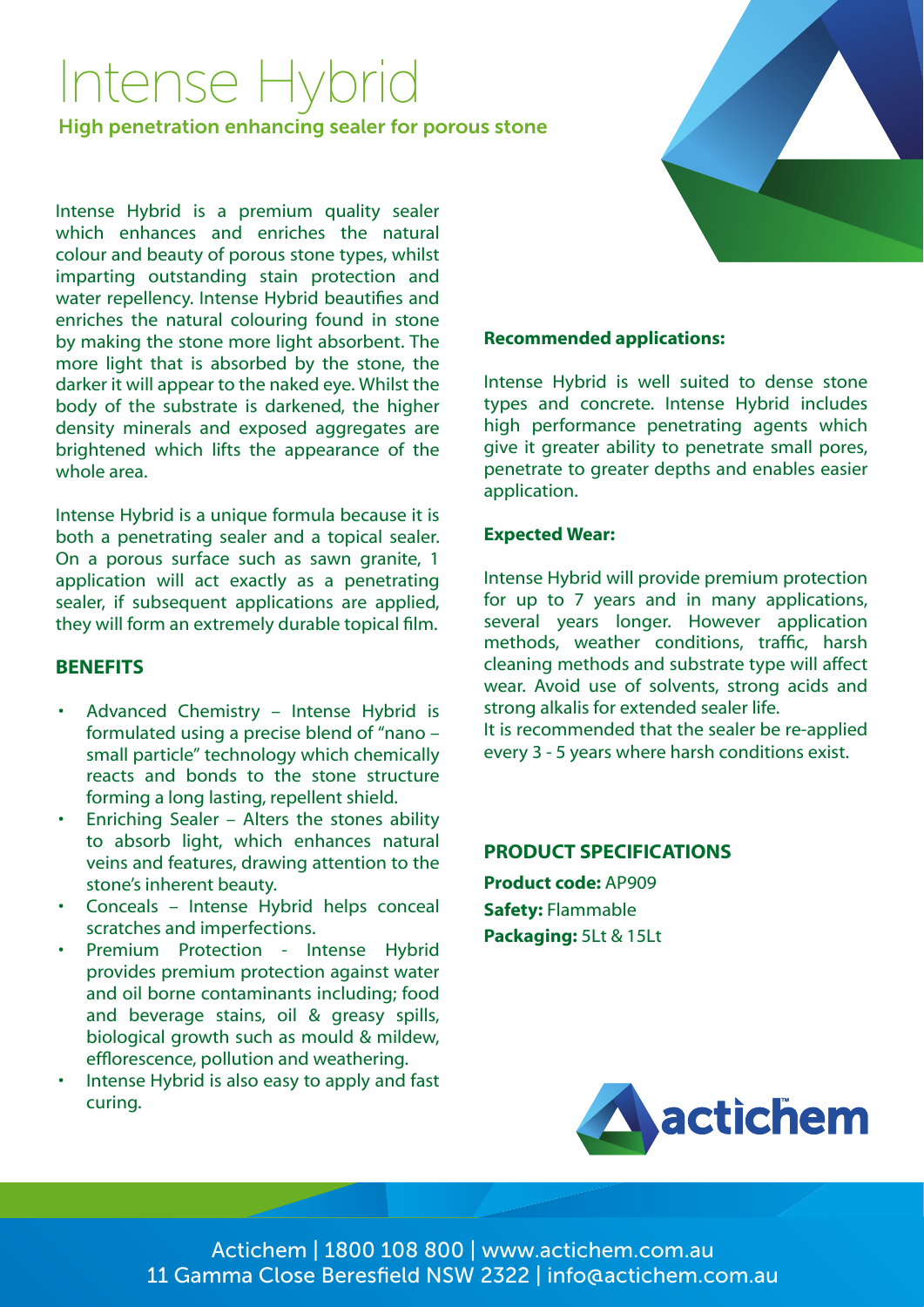# Intense Hybrid

High penetration enhancing sealer for porous stone

Intense Hybrid is a premium quality sealer which enhances and enriches the natural colour and beauty of porous stone types, whilst imparting outstanding stain protection and water repellency. Intense Hybrid beautifies and enriches the natural colouring found in stone by making the stone more light absorbent. The more light that is absorbed by the stone, the darker it will appear to the naked eye. Whilst the body of the substrate is darkened, the higher density minerals and exposed aggregates are brightened which lifts the appearance of the whole area.

Intense Hybrid is a unique formula because it is both a penetrating sealer and a topical sealer. On a porous surface such as sawn granite, 1 application will act exactly as a penetrating sealer, if subsequent applications are applied, they will form an extremely durable topical film.

### **BENEFITS**

- Advanced Chemistry Intense Hybrid is formulated using a precise blend of "nano – small particle" technology which chemically reacts and bonds to the stone structure forming a long lasting, repellent shield.
- Enriching Sealer Alters the stones ability to absorb light, which enhances natural veins and features, drawing attention to the stone's inherent beauty.
- Conceals Intense Hybrid helps conceal scratches and imperfections.
- Premium Protection Intense Hybrid provides premium protection against water and oil borne contaminants including; food and beverage stains, oil & greasy spills, biological growth such as mould & mildew, efflorescence, pollution and weathering.
- Intense Hybrid is also easy to apply and fast curing.

# **Recommended applications:**

Intense Hybrid is well suited to dense stone types and concrete. Intense Hybrid includes high performance penetrating agents which give it greater ability to penetrate small pores, penetrate to greater depths and enables easier application.

### **Expected Wear:**

Intense Hybrid will provide premium protection for up to 7 years and in many applications, several years longer. However application methods, weather conditions, traffic, harsh cleaning methods and substrate type will affect wear. Avoid use of solvents, strong acids and strong alkalis for extended sealer life. It is recommended that the sealer be re-applied every 3 - 5 years where harsh conditions exist.

#### **PRODUCT SPECIFICATIONS**

**Product code:** AP909 **Safety:** Flammable **Packaging:** 5Lt & 15Lt



Actichem | 1800 108 800 | www.actichem.com.au 11 Gamma Close Beresfield NSW 2322 | info@actichem.com.au